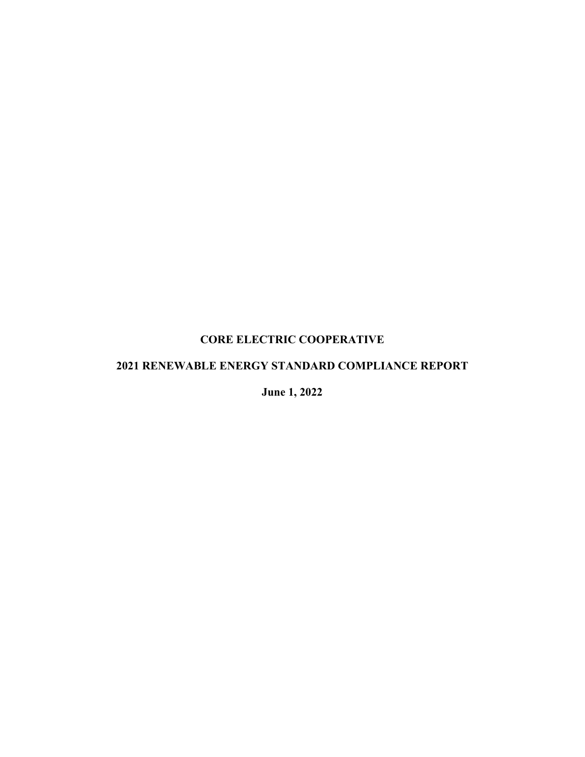# **CORE ELECTRIC COOPERATIVE**

# **2021 RENEWABLE ENERGY STANDARD COMPLIANCE REPORT**

**June 1, 2022**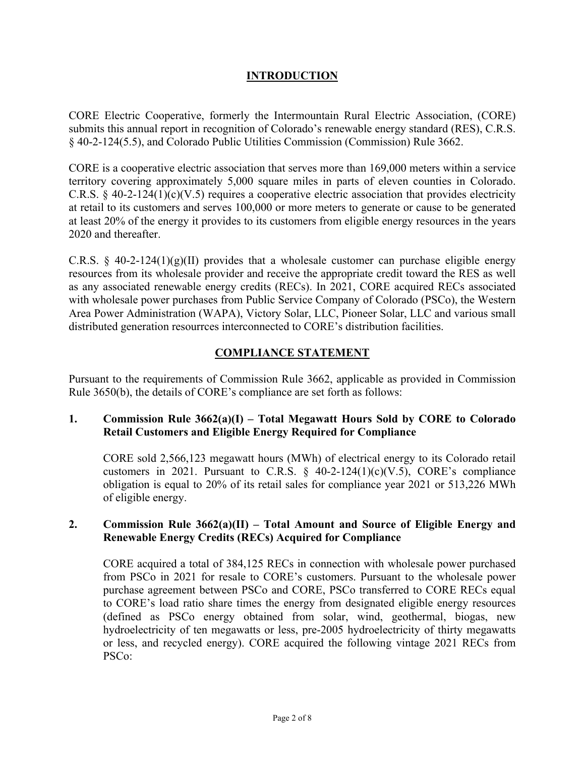# **INTRODUCTION**

CORE Electric Cooperative, formerly the Intermountain Rural Electric Association, (CORE) submits this annual report in recognition of Colorado's renewable energy standard (RES), C.R.S. § 40-2-124(5.5), and Colorado Public Utilities Commission (Commission) Rule 3662.

CORE is a cooperative electric association that serves more than 169,000 meters within a service territory covering approximately 5,000 square miles in parts of eleven counties in Colorado. C.R.S. § 40-2-124(1)(c)(V.5) requires a cooperative electric association that provides electricity at retail to its customers and serves 100,000 or more meters to generate or cause to be generated at least 20% of the energy it provides to its customers from eligible energy resources in the years 2020 and thereafter.

C.R.S. § 40-2-124(1)(g)(II) provides that a wholesale customer can purchase eligible energy resources from its wholesale provider and receive the appropriate credit toward the RES as well as any associated renewable energy credits (RECs). In 2021, CORE acquired RECs associated with wholesale power purchases from Public Service Company of Colorado (PSCo), the Western Area Power Administration (WAPA), Victory Solar, LLC, Pioneer Solar, LLC and various small distributed generation resourrces interconnected to CORE's distribution facilities.

# **COMPLIANCE STATEMENT**

Pursuant to the requirements of Commission Rule 3662, applicable as provided in Commission Rule 3650(b), the details of CORE's compliance are set forth as follows:

## **1. Commission Rule 3662(a)(I) – Total Megawatt Hours Sold by CORE to Colorado Retail Customers and Eligible Energy Required for Compliance**

CORE sold 2,566,123 megawatt hours (MWh) of electrical energy to its Colorado retail customers in 2021. Pursuant to C.R.S.  $\S$  40-2-124(1)(c)(V.5), CORE's compliance obligation is equal to 20% of its retail sales for compliance year 2021 or 513,226 MWh of eligible energy.

#### **2. Commission Rule 3662(a)(II) – Total Amount and Source of Eligible Energy and Renewable Energy Credits (RECs) Acquired for Compliance**

CORE acquired a total of 384,125 RECs in connection with wholesale power purchased from PSCo in 2021 for resale to CORE's customers. Pursuant to the wholesale power purchase agreement between PSCo and CORE, PSCo transferred to CORE RECs equal to CORE's load ratio share times the energy from designated eligible energy resources (defined as PSCo energy obtained from solar, wind, geothermal, biogas, new hydroelectricity of ten megawatts or less, pre-2005 hydroelectricity of thirty megawatts or less, and recycled energy). CORE acquired the following vintage 2021 RECs from PSCo: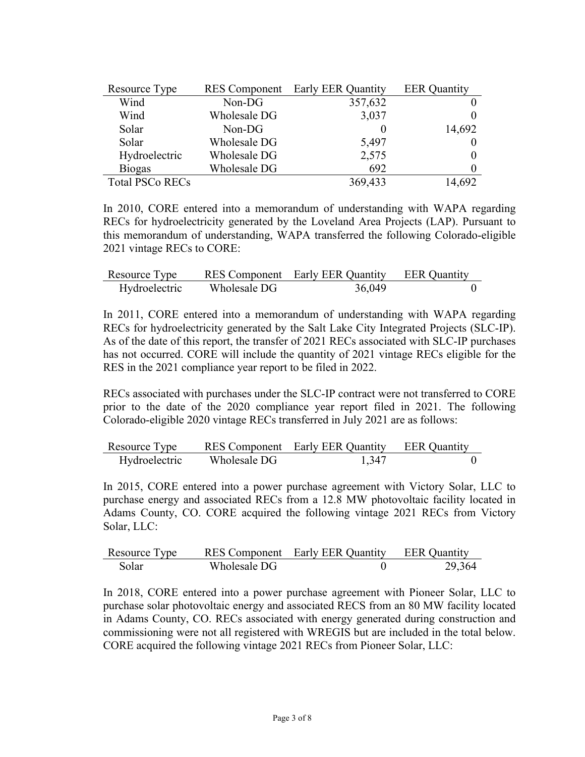| Resource Type          |              | RES Component Early EER Quantity | <b>EER</b> Quantity |
|------------------------|--------------|----------------------------------|---------------------|
| Wind                   | Non-DG       | 357,632                          |                     |
| Wind                   | Wholesale DG | 3,037                            |                     |
| Solar                  | Non-DG       |                                  | 14,692              |
| Solar                  | Wholesale DG | 5,497                            |                     |
| Hydroelectric          | Wholesale DG | 2,575                            |                     |
| <b>Biogas</b>          | Wholesale DG | 692                              |                     |
| <b>Total PSCo RECs</b> |              | 369,433                          | 14.692              |

In 2010, CORE entered into a memorandum of understanding with WAPA regarding RECs for hydroelectricity generated by the Loveland Area Projects (LAP). Pursuant to this memorandum of understanding, WAPA transferred the following Colorado-eligible 2021 vintage RECs to CORE:

| Resource Type        |              | RES Component Early EER Quantity | <b>EER Ouantity</b> |
|----------------------|--------------|----------------------------------|---------------------|
| <b>Hydroelectric</b> | Wholesale DG | 36,049                           |                     |

In 2011, CORE entered into a memorandum of understanding with WAPA regarding RECs for hydroelectricity generated by the Salt Lake City Integrated Projects (SLC-IP). As of the date of this report, the transfer of 2021 RECs associated with SLC-IP purchases has not occurred. CORE will include the quantity of 2021 vintage RECs eligible for the RES in the 2021 compliance year report to be filed in 2022.

RECs associated with purchases under the SLC-IP contract were not transferred to CORE prior to the date of the 2020 compliance year report filed in 2021. The following Colorado-eligible 2020 vintage RECs transferred in July 2021 are as follows:

| Resource Type        |              | RES Component Early EER Quantity | <b>EER Quantity</b> |
|----------------------|--------------|----------------------------------|---------------------|
| <b>Hydroelectric</b> | Wholesale DG | 1,347                            |                     |

In 2015, CORE entered into a power purchase agreement with Victory Solar, LLC to purchase energy and associated RECs from a 12.8 MW photovoltaic facility located in Adams County, CO. CORE acquired the following vintage 2021 RECs from Victory Solar, LLC:

| Resource Type |              | RES Component Early EER Quantity | <b>EER Ouantity</b> |
|---------------|--------------|----------------------------------|---------------------|
| Solar         | Wholesale DG |                                  | 29,364              |

In 2018, CORE entered into a power purchase agreement with Pioneer Solar, LLC to purchase solar photovoltaic energy and associated RECS from an 80 MW facility located in Adams County, CO. RECs associated with energy generated during construction and commissioning were not all registered with WREGIS but are included in the total below. CORE acquired the following vintage 2021 RECs from Pioneer Solar, LLC: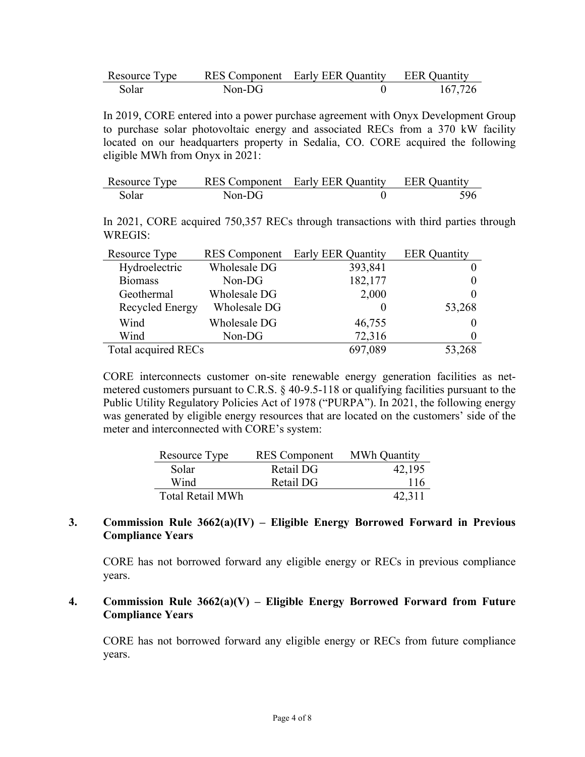| Resource Type |         | RES Component Early EER Quantity | <b>EER Ouantity</b> |
|---------------|---------|----------------------------------|---------------------|
| Solar         | Non-DG- |                                  | 167,726             |

In 2019, CORE entered into a power purchase agreement with Onyx Development Group to purchase solar photovoltaic energy and associated RECs from a 370 kW facility located on our headquarters property in Sedalia, CO. CORE acquired the following eligible MWh from Onyx in 2021:

| Resource Type |         | RES Component Early EER Quantity | <b>EER Quantity</b> |
|---------------|---------|----------------------------------|---------------------|
| Solar         | Non-DG- |                                  | 596                 |

In 2021, CORE acquired 750,357 RECs through transactions with third parties through WREGIS:

| Resource Type       | <b>RES</b> Component | <b>Early EER Quantity</b> | <b>EER</b> Quantity |
|---------------------|----------------------|---------------------------|---------------------|
| Hydroelectric       | Wholesale DG         | 393,841                   |                     |
| <b>Biomass</b>      | $Non-DG$             | 182,177                   |                     |
| Geothermal          | Wholesale DG         | 2,000                     |                     |
| Recycled Energy     | Wholesale DG         |                           | 53,268              |
| Wind                | Wholesale DG         | 46,755                    |                     |
| Wind                | Non-DG               | 72,316                    |                     |
| Total acquired RECs |                      | 697,089                   | 53,268              |

CORE interconnects customer on-site renewable energy generation facilities as netmetered customers pursuant to C.R.S. § 40-9.5-118 or qualifying facilities pursuant to the Public Utility Regulatory Policies Act of 1978 ("PURPA"). In 2021, the following energy was generated by eligible energy resources that are located on the customers' side of the meter and interconnected with CORE's system:

| Resource Type           | <b>RES</b> Component | MWh Quantity |
|-------------------------|----------------------|--------------|
| Solar                   | Retail DG            | 42,195       |
| Wind                    | Retail DG            | 116          |
| <b>Total Retail MWh</b> |                      | 42.311       |

#### **3. Commission Rule 3662(a)(IV) – Eligible Energy Borrowed Forward in Previous Compliance Years**

CORE has not borrowed forward any eligible energy or RECs in previous compliance years.

#### **4. Commission Rule 3662(a)(V) – Eligible Energy Borrowed Forward from Future Compliance Years**

CORE has not borrowed forward any eligible energy or RECs from future compliance years.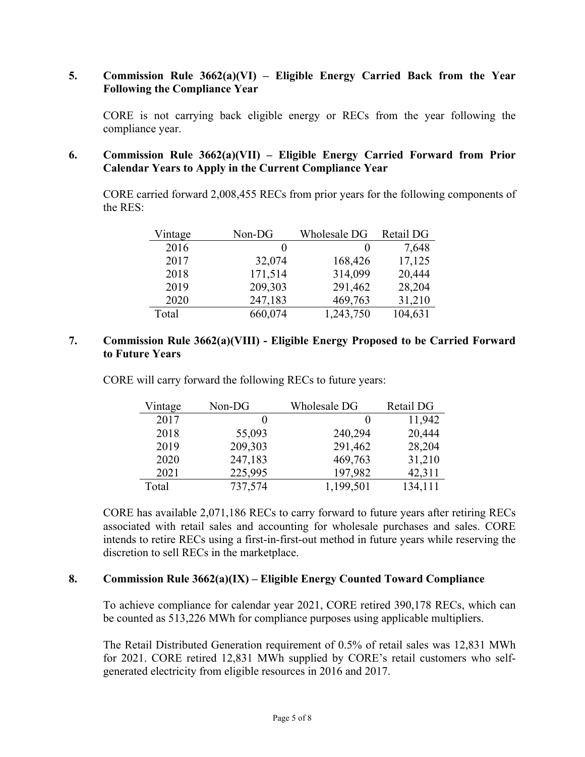### **5. Commission Rule 3662(a)(VI) – Eligible Energy Carried Back from the Year Following the Compliance Year**

CORE is not carrying back eligible energy or RECs from the year following the compliance year.

#### **6. Commission Rule 3662(a)(VII) – Eligible Energy Carried Forward from Prior Calendar Years to Apply in the Current Compliance Year**

CORE carried forward 2,008,455 RECs from prior years for the following components of the RES:

| Vintage | Non-DG  | Wholesale DG | Retail DG |
|---------|---------|--------------|-----------|
| 2016    |         |              | 7,648     |
| 2017    | 32,074  | 168,426      | 17,125    |
| 2018    | 171,514 | 314,099      | 20,444    |
| 2019    | 209,303 | 291,462      | 28,204    |
| 2020    | 247,183 | 469,763      | 31,210    |
| Total   | 660,074 | 1,243,750    | 104,631   |

### **7. Commission Rule 3662(a)(VIII) - Eligible Energy Proposed to be Carried Forward to Future Years**

CORE will carry forward the following RECs to future years:

| Vintage | Non-DG  | Wholesale DG | Retail DG |
|---------|---------|--------------|-----------|
| 2017    |         |              | 11,942    |
| 2018    | 55,093  | 240,294      | 20,444    |
| 2019    | 209,303 | 291,462      | 28,204    |
| 2020    | 247,183 | 469,763      | 31,210    |
| 2021    | 225,995 | 197,982      | 42,311    |
| Total   | 737,574 | 1,199,501    | 134,111   |

CORE has available 2,071,186 RECs to carry forward to future years after retiring RECs associated with retail sales and accounting for wholesale purchases and sales. CORE intends to retire RECs using a first-in-first-out method in future years while reserving the discretion to sell RECs in the marketplace.

#### **8. Commission Rule 3662(a)(IX) – Eligible Energy Counted Toward Compliance**

To achieve compliance for calendar year 2021, CORE retired 390,178 RECs, which can be counted as 513,226 MWh for compliance purposes using applicable multipliers.

The Retail Distributed Generation requirement of 0.5% of retail sales was 12,831 MWh for 2021. CORE retired 12,831 MWh supplied by CORE's retail customers who selfgenerated electricity from eligible resources in 2016 and 2017.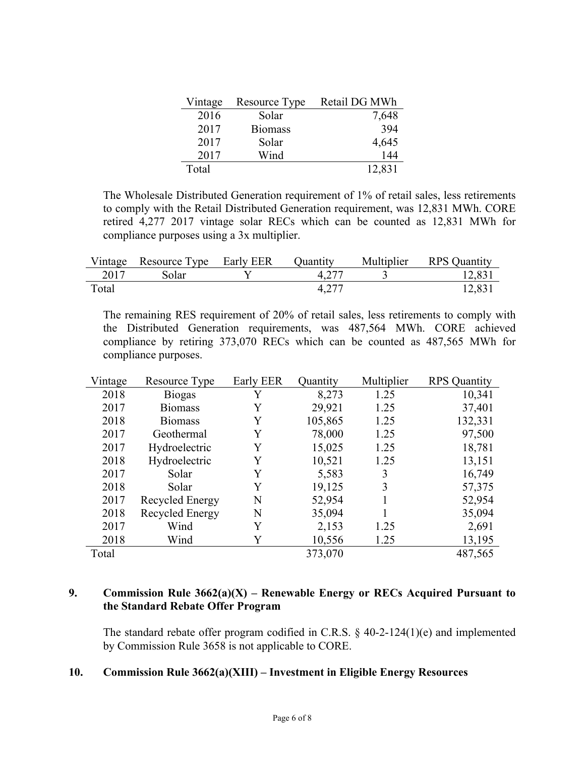| Vintage | Resource Type  | Retail DG MWh |
|---------|----------------|---------------|
| 2016    | Solar          | 7,648         |
| 2017    | <b>Biomass</b> | 394           |
| 2017    | Solar          | 4,645         |
| 2017    | Wind           | 144           |
| Total   |                | 12,831        |

The Wholesale Distributed Generation requirement of 1% of retail sales, less retirements to comply with the Retail Distributed Generation requirement, was 12,831 MWh. CORE retired 4,277 2017 vintage solar RECs which can be counted as 12,831 MWh for compliance purposes using a 3x multiplier.

|       | Vintage Resource Type Early EER | <b>Ouantity</b> | Multiplier | <b>RPS Quantity</b> |
|-------|---------------------------------|-----------------|------------|---------------------|
| 2017  | Solar                           | 4,277           |            | 12,831              |
| Total |                                 | 4.277           |            | 12,831              |

The remaining RES requirement of 20% of retail sales, less retirements to comply with the Distributed Generation requirements, was 487,564 MWh. CORE achieved compliance by retiring 373,070 RECs which can be counted as 487,565 MWh for compliance purposes.

| Vintage | Resource Type   | <b>Early EER</b> | Quantity | Multiplier | <b>RPS</b> Quantity |
|---------|-----------------|------------------|----------|------------|---------------------|
| 2018    | <b>Biogas</b>   | Y                | 8,273    | 1.25       | 10,341              |
| 2017    | <b>Biomass</b>  | Y                | 29,921   | 1.25       | 37,401              |
| 2018    | <b>Biomass</b>  | Y                | 105,865  | 1.25       | 132,331             |
| 2017    | Geothermal      | Y                | 78,000   | 1.25       | 97,500              |
| 2017    | Hydroelectric   | Y                | 15,025   | 1.25       | 18,781              |
| 2018    | Hydroelectric   | Y                | 10,521   | 1.25       | 13,151              |
| 2017    | Solar           | Y                | 5,583    | 3          | 16,749              |
| 2018    | Solar           | Y                | 19,125   | 3          | 57,375              |
| 2017    | Recycled Energy | N                | 52,954   |            | 52,954              |
| 2018    | Recycled Energy | N                | 35,094   |            | 35,094              |
| 2017    | Wind            | Y                | 2,153    | 1.25       | 2,691               |
| 2018    | Wind            | Y                | 10,556   | 1.25       | 13,195              |
| Total   |                 |                  | 373,070  |            | 487,565             |

#### **9. Commission Rule 3662(a)(X) – Renewable Energy or RECs Acquired Pursuant to the Standard Rebate Offer Program**

The standard rebate offer program codified in C.R.S. § 40-2-124(1)(e) and implemented by Commission Rule 3658 is not applicable to CORE.

#### **10. Commission Rule 3662(a)(XIII) – Investment in Eligible Energy Resources**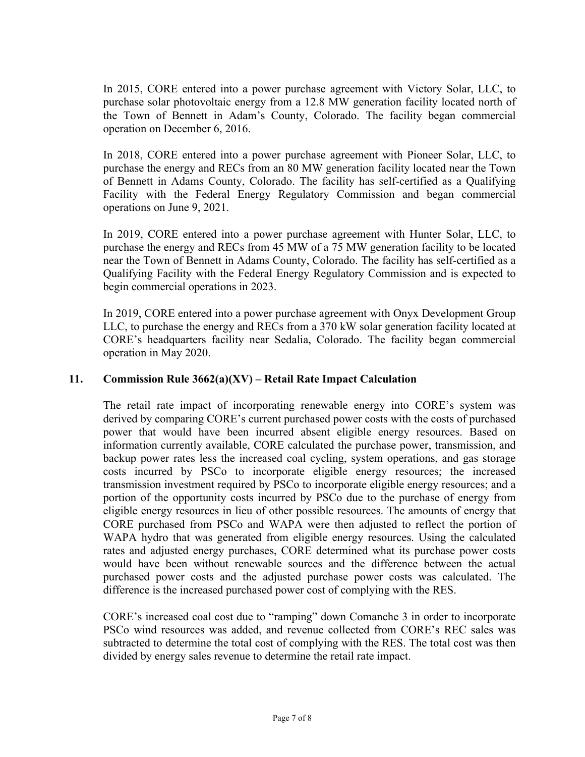In 2015, CORE entered into a power purchase agreement with Victory Solar, LLC, to purchase solar photovoltaic energy from a 12.8 MW generation facility located north of the Town of Bennett in Adam's County, Colorado. The facility began commercial operation on December 6, 2016.

In 2018, CORE entered into a power purchase agreement with Pioneer Solar, LLC, to purchase the energy and RECs from an 80 MW generation facility located near the Town of Bennett in Adams County, Colorado. The facility has self-certified as a Qualifying Facility with the Federal Energy Regulatory Commission and began commercial operations on June 9, 2021.

In 2019, CORE entered into a power purchase agreement with Hunter Solar, LLC, to purchase the energy and RECs from 45 MW of a 75 MW generation facility to be located near the Town of Bennett in Adams County, Colorado. The facility has self-certified as a Qualifying Facility with the Federal Energy Regulatory Commission and is expected to begin commercial operations in 2023.

In 2019, CORE entered into a power purchase agreement with Onyx Development Group LLC, to purchase the energy and RECs from a 370 kW solar generation facility located at CORE's headquarters facility near Sedalia, Colorado. The facility began commercial operation in May 2020.

### **11. Commission Rule 3662(a)(XV) – Retail Rate Impact Calculation**

The retail rate impact of incorporating renewable energy into CORE's system was derived by comparing CORE's current purchased power costs with the costs of purchased power that would have been incurred absent eligible energy resources. Based on information currently available, CORE calculated the purchase power, transmission, and backup power rates less the increased coal cycling, system operations, and gas storage costs incurred by PSCo to incorporate eligible energy resources; the increased transmission investment required by PSCo to incorporate eligible energy resources; and a portion of the opportunity costs incurred by PSCo due to the purchase of energy from eligible energy resources in lieu of other possible resources. The amounts of energy that CORE purchased from PSCo and WAPA were then adjusted to reflect the portion of WAPA hydro that was generated from eligible energy resources. Using the calculated rates and adjusted energy purchases, CORE determined what its purchase power costs would have been without renewable sources and the difference between the actual purchased power costs and the adjusted purchase power costs was calculated. The difference is the increased purchased power cost of complying with the RES.

CORE's increased coal cost due to "ramping" down Comanche 3 in order to incorporate PSCo wind resources was added, and revenue collected from CORE's REC sales was subtracted to determine the total cost of complying with the RES. The total cost was then divided by energy sales revenue to determine the retail rate impact.